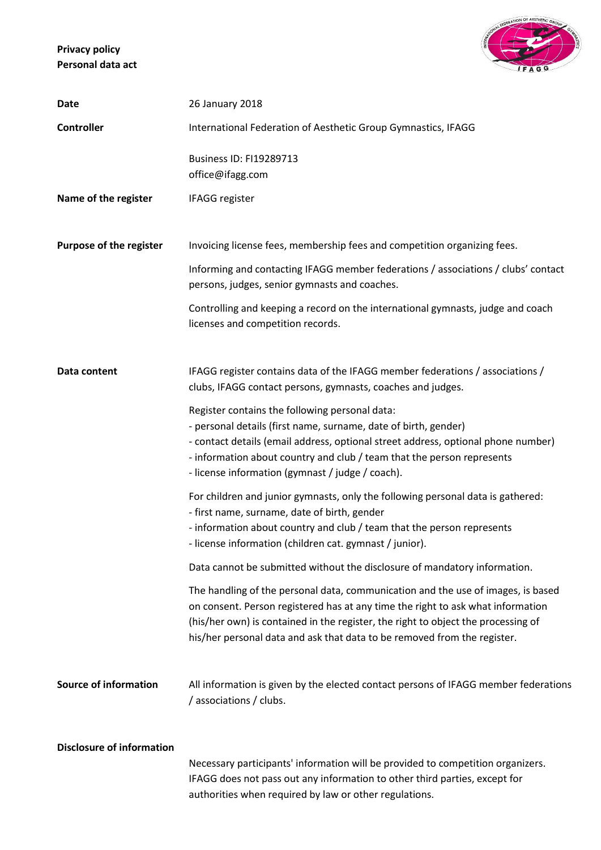**Privacy policy Personal data act**



| Date                             | 26 January 2018                                                                                                                                                                                                                                                                                                                      |
|----------------------------------|--------------------------------------------------------------------------------------------------------------------------------------------------------------------------------------------------------------------------------------------------------------------------------------------------------------------------------------|
| <b>Controller</b>                | International Federation of Aesthetic Group Gymnastics, IFAGG                                                                                                                                                                                                                                                                        |
|                                  | <b>Business ID: FI19289713</b><br>office@ifagg.com                                                                                                                                                                                                                                                                                   |
| Name of the register             | IFAGG register                                                                                                                                                                                                                                                                                                                       |
|                                  |                                                                                                                                                                                                                                                                                                                                      |
| Purpose of the register          | Invoicing license fees, membership fees and competition organizing fees.                                                                                                                                                                                                                                                             |
|                                  | Informing and contacting IFAGG member federations / associations / clubs' contact<br>persons, judges, senior gymnasts and coaches.                                                                                                                                                                                                   |
|                                  | Controlling and keeping a record on the international gymnasts, judge and coach<br>licenses and competition records.                                                                                                                                                                                                                 |
|                                  |                                                                                                                                                                                                                                                                                                                                      |
| Data content                     | IFAGG register contains data of the IFAGG member federations / associations /<br>clubs, IFAGG contact persons, gymnasts, coaches and judges.                                                                                                                                                                                         |
|                                  | Register contains the following personal data:<br>- personal details (first name, surname, date of birth, gender)<br>- contact details (email address, optional street address, optional phone number)<br>- information about country and club / team that the person represents<br>- license information (gymnast / judge / coach). |
|                                  | For children and junior gymnasts, only the following personal data is gathered:<br>- first name, surname, date of birth, gender<br>- information about country and club / team that the person represents<br>- license information (children cat. gymnast / junior).                                                                 |
|                                  | Data cannot be submitted without the disclosure of mandatory information.                                                                                                                                                                                                                                                            |
|                                  | The handling of the personal data, communication and the use of images, is based<br>on consent. Person registered has at any time the right to ask what information<br>(his/her own) is contained in the register, the right to object the processing of<br>his/her personal data and ask that data to be removed from the register. |
| <b>Source of information</b>     | All information is given by the elected contact persons of IFAGG member federations<br>/ associations / clubs.                                                                                                                                                                                                                       |
| <b>Disclosure of information</b> | Necessary participants' information will be provided to competition organizers.<br>IFAGG does not pass out any information to other third parties, except for<br>authorities when required by law or other regulations.                                                                                                              |